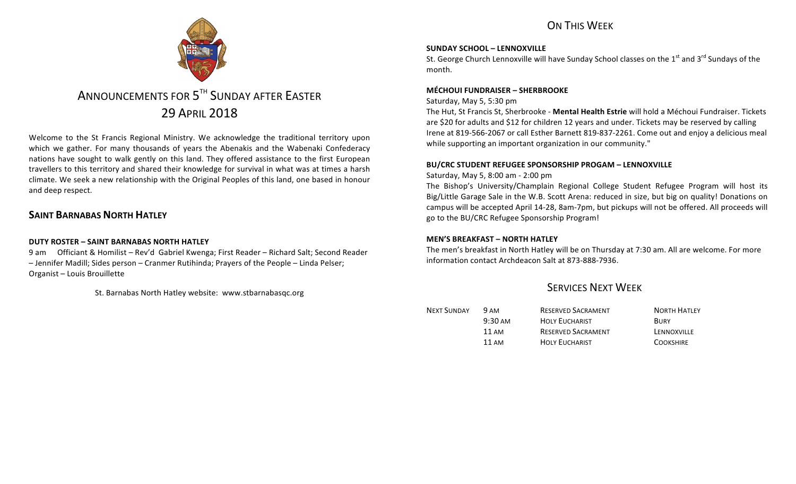## ON THIS WFFK



# ANNOUNCEMENTS FOR 5<sup>TH</sup> SUNDAY AFTER FASTER 29 APRIL 2018

Welcome to the St Francis Regional Ministry. We acknowledge the traditional territory upon which we gather. For many thousands of years the Abenakis and the Wabenaki Confederacy nations have sought to walk gently on this land. They offered assistance to the first European travellers to this territory and shared their knowledge for survival in what was at times a harsh climate. We seek a new relationship with the Original Peoples of this land, one based in honour and deep respect.

## **SAINT BARNABAS NORTH HATLEY**

### **DUTY ROSTER – SAINT BARNABAS NORTH HATLEY**

9 am Officiant & Homilist – Rev'd Gabriel Kwenga; First Reader – Richard Salt; Second Reader - Jennifer Madill; Sides person - Cranmer Rutihinda; Prayers of the People - Linda Pelser: Organist – Louis Brouillette

St. Barnabas North Hatley website: www.stbarnabasqc.org

### **SUNDAY SCHOOL – LENNOXVILLE**

St. George Church Lennoxville will have Sunday School classes on the  $1<sup>st</sup>$  and  $3<sup>rd</sup>$  Sundays of the month.

### **MÉCHOUI FUNDRAISER – SHERBROOKE**

### Saturday, May 5, 5:30 pm

The Hut, St Francis St, Sherbrooke - **Mental Health Estrie** will hold a Méchoui Fundraiser. Tickets are \$20 for adults and \$12 for children 12 years and under. Tickets may be reserved by calling Irene at 819-566-2067 or call Esther Barnett 819-837-2261. Come out and enjoy a delicious meal while supporting an important organization in our community."

### **BU/CRC STUDENT REFUGEE SPONSORSHIP PROGAM – LENNOXVILLE**

### Saturday, May 5, 8:00 am - 2:00 pm

The Bishop's University/Champlain Regional College Student Refugee Program will host its Big/Little Garage Sale in the W.B. Scott Arena: reduced in size, but big on quality! Donations on campus will be accepted April 14-28, 8am-7pm, but pickups will not be offered. All proceeds will go to the BU/CRC Refugee Sponsorship Program!

## **MEN'S BREAKFAST – NORTH HATLEY**

The men's breakfast in North Hatley will be on Thursday at 7:30 am. All are welcome. For more information contact Archdeacon Salt at 873-888-7936.

## SERVICES NEXT WEEK

| <b>NEXT SUNDAY</b> | <b>9 AM</b>       | <b>RESERVED SACRAMENT</b> | <b>NORTH HATLEY</b> |
|--------------------|-------------------|---------------------------|---------------------|
|                    | $9:30 \text{ AM}$ | <b>HOLY EUCHARIST</b>     | <b>BURY</b>         |
|                    | 11 AM             | <b>RESERVED SACRAMENT</b> | LENNOXVILLE         |
|                    | 11 AM             | <b>HOLY EUCHARIST</b>     | <b>COOKSHIRE</b>    |